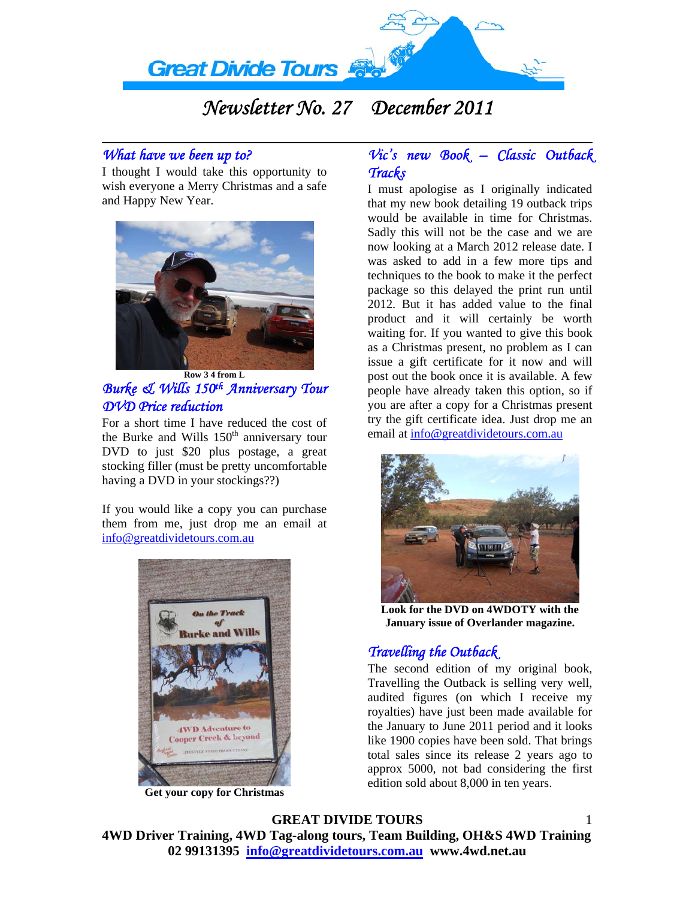

# *Newsletter No. 27 December 2011*

## *What have we been up to?*

I thought I would take this opportunity to wish everyone a Merry Christmas and a safe and Happy New Year.



**Row 3 4 from L**  *Burke & Wills 150th Anniversary Tour DVD Price reduction*

For a short time I have reduced the cost of the Burke and Wills  $150<sup>th</sup>$  anniversary tour DVD to just \$20 plus postage, a great stocking filler (must be pretty uncomfortable having a DVD in your stockings??)

If you would like a copy you can purchase them from me, just drop me an email at [info@greatdividetours.com.au](mailto:info@greatdividetours.com.au)



**Get your copy for Christmas** 

## *Vic's new Book – Classic Outback Tracks*

I must apologise as I originally indicated that my new book detailing 19 outback trips would be available in time for Christmas. Sadly this will not be the case and we are now looking at a March 2012 release date. I was asked to add in a few more tips and techniques to the book to make it the perfect package so this delayed the print run until 2012. But it has added value to the final product and it will certainly be worth waiting for. If you wanted to give this book as a Christmas present, no problem as I can issue a gift certificate for it now and will post out the book once it is available. A few people have already taken this option, so if you are after a copy for a Christmas present try the gift certificate idea. Just drop me an email at [info@greatdividetours.com.au](mailto:info@greatdividetours.com.au) 



**Look for the DVD on 4WDOTY with the January issue of Overlander magazine.** 

## *Travelling the Outback*

The second edition of my original book, Travelling the Outback is selling very well, audited figures (on which I receive my royalties) have just been made available for the January to June 2011 period and it looks like 1900 copies have been sold. That brings total sales since its release 2 years ago to approx 5000, not bad considering the first edition sold about 8,000 in ten years.

1

#### **GREAT DIVIDE TOURS**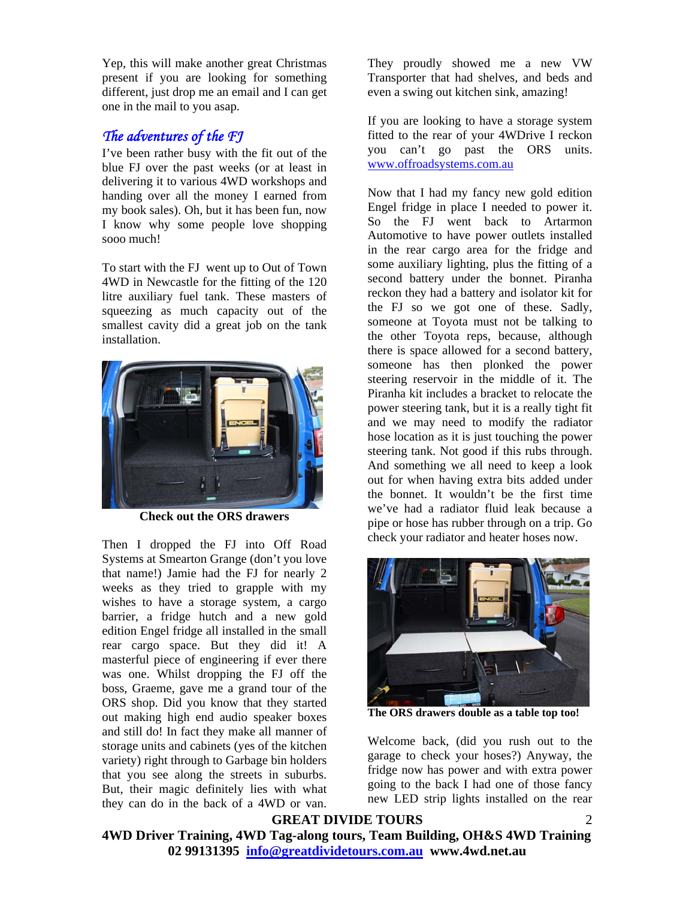Yep, this will make another great Christmas present if you are looking for something different, just drop me an email and I can get one in the mail to you asap.

#### *The adventures of the FJ*

I've been rather busy with the fit out of the blue FJ over the past weeks (or at least in delivering it to various 4WD workshops and handing over all the money I earned from my book sales). Oh, but it has been fun, now I know why some people love shopping sooo much!

To start with the FJ went up to Out of Town 4WD in Newcastle for the fitting of the 120 litre auxiliary fuel tank. These masters of squeezing as much capacity out of the smallest cavity did a great job on the tank installation.



**Check out the ORS drawers** 

Then I dropped the FJ into Off Road Systems at Smearton Grange (don't you love that name!) Jamie had the FJ for nearly 2 weeks as they tried to grapple with my wishes to have a storage system, a cargo barrier, a fridge hutch and a new gold edition Engel fridge all installed in the small rear cargo space. But they did it! A masterful piece of engineering if ever there was one. Whilst dropping the FJ off the boss, Graeme, gave me a grand tour of the ORS shop. Did you know that they started out making high end audio speaker boxes and still do! In fact they make all manner of storage units and cabinets (yes of the kitchen variety) right through to Garbage bin holders that you see along the streets in suburbs. But, their magic definitely lies with what they can do in the back of a 4WD or van.

They proudly showed me a new VW Transporter that had shelves, and beds and even a swing out kitchen sink, amazing!

If you are looking to have a storage system fitted to the rear of your 4WDrive I reckon you can't go past the ORS units. [www.offroadsystems.com.au](http://www.offroadsystems.com.au/) 

Now that I had my fancy new gold edition Engel fridge in place I needed to power it. So the FJ went back to Artarmon Automotive to have power outlets installed in the rear cargo area for the fridge and some auxiliary lighting, plus the fitting of a second battery under the bonnet. Piranha reckon they had a battery and isolator kit for the FJ so we got one of these. Sadly, someone at Toyota must not be talking to the other Toyota reps, because, although there is space allowed for a second battery, someone has then plonked the power steering reservoir in the middle of it. The Piranha kit includes a bracket to relocate the power steering tank, but it is a really tight fit and we may need to modify the radiator hose location as it is just touching the power steering tank. Not good if this rubs through. And something we all need to keep a look out for when having extra bits added under the bonnet. It wouldn't be the first time we've had a radiator fluid leak because a pipe or hose has rubber through on a trip. Go check your radiator and heater hoses now.



**The ORS drawers double as a table top too!** 

Welcome back, (did you rush out to the garage to check your hoses?) Anyway, the fridge now has power and with extra power going to the back I had one of those fancy new LED strip lights installed on the rear

 $\mathcal{D}$ 

**GREAT DIVIDE TOURS**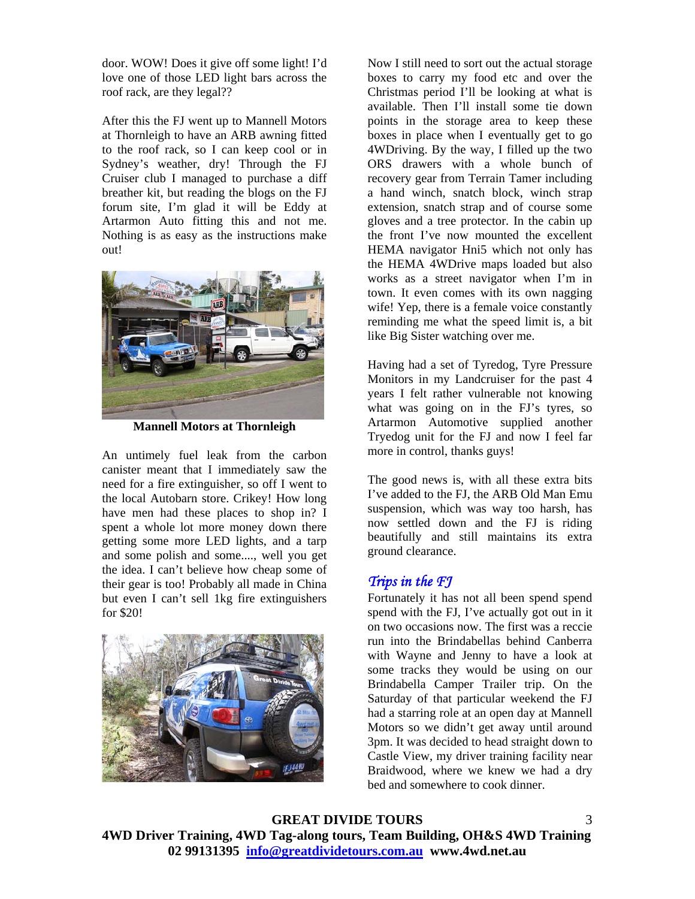door. WOW! Does it give off some light! I'd love one of those LED light bars across the roof rack, are they legal??

After this the FJ went up to Mannell Motors at Thornleigh to have an ARB awning fitted to the roof rack, so I can keep cool or in Sydney's weather, dry! Through the FJ Cruiser club I managed to purchase a diff breather kit, but reading the blogs on the FJ forum site, I'm glad it will be Eddy at Artarmon Auto fitting this and not me. Nothing is as easy as the instructions make out!



**Mannell Motors at Thornleigh** 

An untimely fuel leak from the carbon canister meant that I immediately saw the need for a fire extinguisher, so off I went to the local Autobarn store. Crikey! How long have men had these places to shop in? I spent a whole lot more money down there getting some more LED lights, and a tarp and some polish and some...., well you get the idea. I can't believe how cheap some of their gear is too! Probably all made in China but even I can't sell 1kg fire extinguishers for \$20!



Now I still need to sort out the actual storage boxes to carry my food etc and over the Christmas period I'll be looking at what is available. Then I'll install some tie down points in the storage area to keep these boxes in place when I eventually get to go 4WDriving. By the way, I filled up the two ORS drawers with a whole bunch of recovery gear from Terrain Tamer including a hand winch, snatch block, winch strap extension, snatch strap and of course some gloves and a tree protector. In the cabin up the front I've now mounted the excellent HEMA navigator Hni5 which not only has the HEMA 4WDrive maps loaded but also works as a street navigator when I'm in town. It even comes with its own nagging wife! Yep, there is a female voice constantly reminding me what the speed limit is, a bit like Big Sister watching over me.

Having had a set of Tyredog, Tyre Pressure Monitors in my Landcruiser for the past 4 years I felt rather vulnerable not knowing what was going on in the FJ's tyres, so Artarmon Automotive supplied another Tryedog unit for the FJ and now I feel far more in control, thanks guys!

The good news is, with all these extra bits I've added to the FJ, the ARB Old Man Emu suspension, which was way too harsh, has now settled down and the FJ is riding beautifully and still maintains its extra ground clearance.

## *Trips in the FJ*

Fortunately it has not all been spend spend spend with the FJ, I've actually got out in it on two occasions now. The first was a reccie run into the Brindabellas behind Canberra with Wayne and Jenny to have a look at some tracks they would be using on our Brindabella Camper Trailer trip. On the Saturday of that particular weekend the FJ had a starring role at an open day at Mannell Motors so we didn't get away until around 3pm. It was decided to head straight down to Castle View, my driver training facility near Braidwood, where we knew we had a dry bed and somewhere to cook dinner.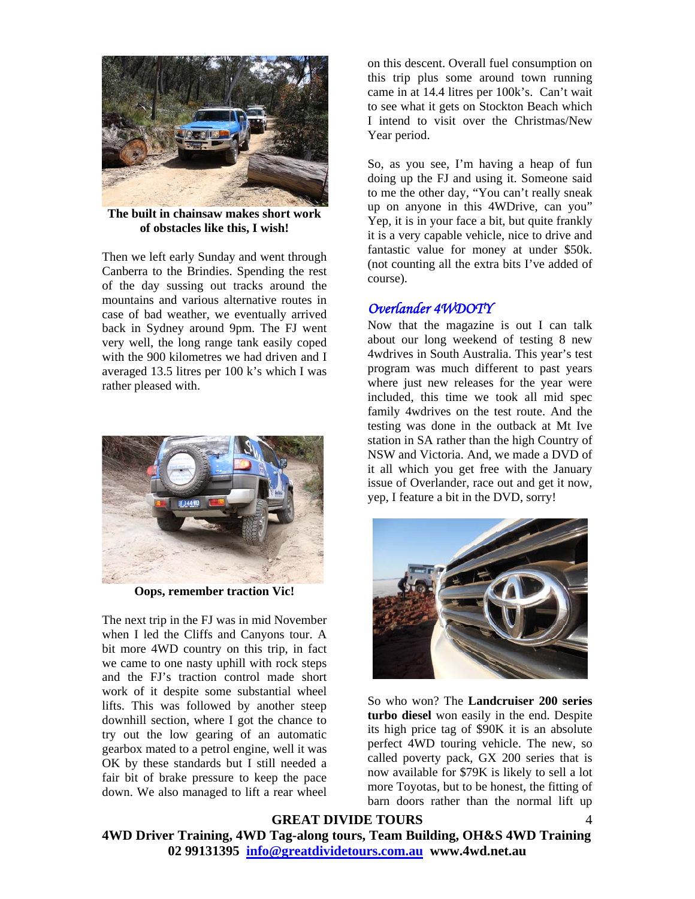

**The built in chainsaw makes short work of obstacles like this, I wish!** 

Then we left early Sunday and went through Canberra to the Brindies. Spending the rest of the day sussing out tracks around the mountains and various alternative routes in case of bad weather, we eventually arrived back in Sydney around 9pm. The FJ went very well, the long range tank easily coped with the 900 kilometres we had driven and I averaged 13.5 litres per 100 k's which I was rather pleased with.



**Oops, remember traction Vic!** 

The next trip in the FJ was in mid November when I led the Cliffs and Canyons tour. A bit more 4WD country on this trip, in fact we came to one nasty uphill with rock steps and the FJ's traction control made short work of it despite some substantial wheel lifts. This was followed by another steep downhill section, where I got the chance to try out the low gearing of an automatic gearbox mated to a petrol engine, well it was OK by these standards but I still needed a fair bit of brake pressure to keep the pace down. We also managed to lift a rear wheel

on this descent. Overall fuel consumption on this trip plus some around town running came in at 14.4 litres per 100k's. Can't wait to see what it gets on Stockton Beach which I intend to visit over the Christmas/New Year period.

So, as you see, I'm having a heap of fun doing up the FJ and using it. Someone said to me the other day, "You can't really sneak up on anyone in this 4WDrive, can you" Yep, it is in your face a bit, but quite frankly it is a very capable vehicle, nice to drive and fantastic value for money at under \$50k. (not counting all the extra bits I've added of course).

#### *Overlander 4WDOTY*

Now that the magazine is out I can talk about our long weekend of testing 8 new 4wdrives in South Australia. This year's test program was much different to past years where just new releases for the year were included, this time we took all mid spec family 4wdrives on the test route. And the testing was done in the outback at Mt Ive station in SA rather than the high Country of NSW and Victoria. And, we made a DVD of it all which you get free with the January issue of Overlander, race out and get it now, yep, I feature a bit in the DVD, sorry!



So who won? The **Landcruiser 200 series turbo diesel** won easily in the end. Despite its high price tag of \$90K it is an absolute perfect 4WD touring vehicle. The new, so called poverty pack, GX 200 series that is now available for \$79K is likely to sell a lot more Toyotas, but to be honest, the fitting of barn doors rather than the normal lift up

4

#### **GREAT DIVIDE TOURS**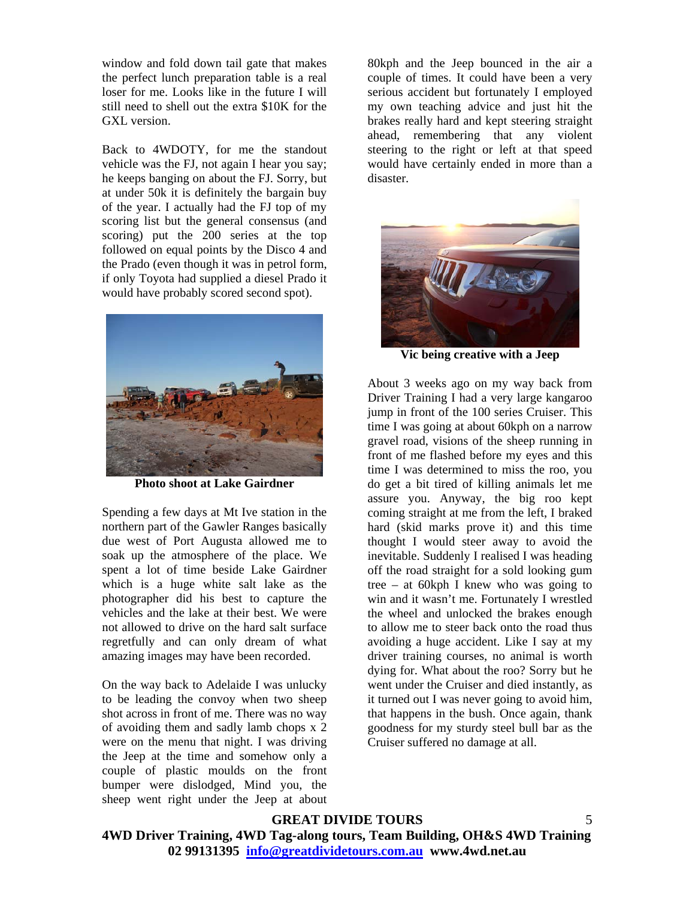window and fold down tail gate that makes the perfect lunch preparation table is a real loser for me. Looks like in the future I will still need to shell out the extra \$10K for the GXL version.

Back to 4WDOTY, for me the standout vehicle was the FJ, not again I hear you say; he keeps banging on about the FJ. Sorry, but at under 50k it is definitely the bargain buy of the year. I actually had the FJ top of my scoring list but the general consensus (and scoring) put the 200 series at the top followed on equal points by the Disco 4 and the Prado (even though it was in petrol form, if only Toyota had supplied a diesel Prado it would have probably scored second spot).



**Photo shoot at Lake Gairdner** 

Spending a few days at Mt Ive station in the northern part of the Gawler Ranges basically due west of Port Augusta allowed me to soak up the atmosphere of the place. We spent a lot of time beside Lake Gairdner which is a huge white salt lake as the photographer did his best to capture the vehicles and the lake at their best. We were not allowed to drive on the hard salt surface regretfully and can only dream of what amazing images may have been recorded.

On the way back to Adelaide I was unlucky to be leading the convoy when two sheep shot across in front of me. There was no way of avoiding them and sadly lamb chops x 2 were on the menu that night. I was driving the Jeep at the time and somehow only a couple of plastic moulds on the front bumper were dislodged, Mind you, the sheep went right under the Jeep at about

80kph and the Jeep bounced in the air a couple of times. It could have been a very serious accident but fortunately I employed my own teaching advice and just hit the brakes really hard and kept steering straight ahead, remembering that any violent steering to the right or left at that speed would have certainly ended in more than a disaster.



**Vic being creative with a Jeep** 

About 3 weeks ago on my way back from Driver Training I had a very large kangaroo jump in front of the 100 series Cruiser. This time I was going at about 60kph on a narrow gravel road, visions of the sheep running in front of me flashed before my eyes and this time I was determined to miss the roo, you do get a bit tired of killing animals let me assure you. Anyway, the big roo kept coming straight at me from the left, I braked hard (skid marks prove it) and this time thought I would steer away to avoid the inevitable. Suddenly I realised I was heading off the road straight for a sold looking gum tree – at 60kph I knew who was going to win and it wasn't me. Fortunately I wrestled the wheel and unlocked the brakes enough to allow me to steer back onto the road thus avoiding a huge accident. Like I say at my driver training courses, no animal is worth dying for. What about the roo? Sorry but he went under the Cruiser and died instantly, as it turned out I was never going to avoid him, that happens in the bush. Once again, thank goodness for my sturdy steel bull bar as the Cruiser suffered no damage at all.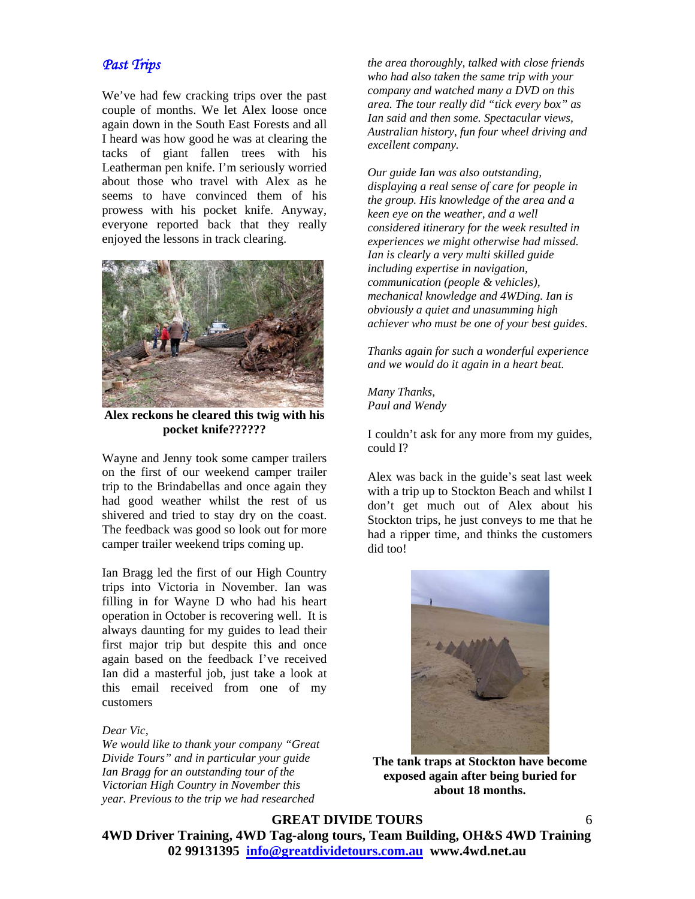## *Past Trips*

We've had few cracking trips over the past couple of months. We let Alex loose once again down in the South East Forests and all I heard was how good he was at clearing the tacks of giant fallen trees with his Leatherman pen knife. I'm seriously worried about those who travel with Alex as he seems to have convinced them of his prowess with his pocket knife. Anyway, everyone reported back that they really enjoyed the lessons in track clearing.



**Alex reckons he cleared this twig with his pocket knife??????** 

Wayne and Jenny took some camper trailers on the first of our weekend camper trailer trip to the Brindabellas and once again they had good weather whilst the rest of us shivered and tried to stay dry on the coast. The feedback was good so look out for more camper trailer weekend trips coming up.

Ian Bragg led the first of our High Country trips into Victoria in November. Ian was filling in for Wayne D who had his heart operation in October is recovering well. It is always daunting for my guides to lead their first major trip but despite this and once again based on the feedback I've received Ian did a masterful job, just take a look at this email received from one of my customers

#### *Dear Vic,*

*We would like to thank your company "Great Divide Tours" and in particular your guide Ian Bragg for an outstanding tour of the Victorian High Country in November this year. Previous to the trip we had researched* 

*the area thoroughly, talked with close friends who had also taken the same trip with your company and watched many a DVD on this area. The tour really did "tick every box" as Ian said and then some. Spectacular views, Australian history, fun four wheel driving and excellent company.* 

*Our guide Ian was also outstanding, displaying a real sense of care for people in the group. His knowledge of the area and a keen eye on the weather, and a well considered itinerary for the week resulted in experiences we might otherwise had missed. Ian is clearly a very multi skilled guide including expertise in navigation, communication (people & vehicles), mechanical knowledge and 4WDing. Ian is obviously a quiet and unasumming high achiever who must be one of your best guides.* 

*Thanks again for such a wonderful experience and we would do it again in a heart beat.* 

*Many Thanks, Paul and Wendy* 

I couldn't ask for any more from my guides, could I?

Alex was back in the guide's seat last week with a trip up to Stockton Beach and whilst I don't get much out of Alex about his Stockton trips, he just conveys to me that he had a ripper time, and thinks the customers did too!



**The tank traps at Stockton have become exposed again after being buried for about 18 months.** 

6

#### **GREAT DIVIDE TOURS**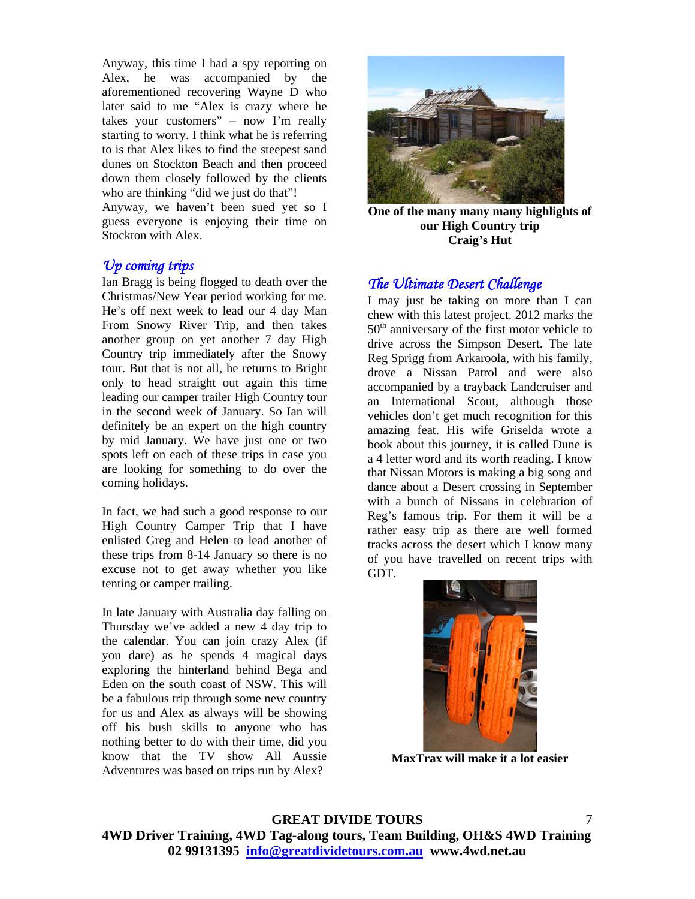Anyway, this time I had a spy reporting on Alex, he was accompanied by the aforementioned recovering Wayne D who later said to me "Alex is crazy where he takes your customers" – now I'm really starting to worry. I think what he is referring to is that Alex likes to find the steepest sand dunes on Stockton Beach and then proceed down them closely followed by the clients who are thinking "did we just do that"!

Anyway, we haven't been sued yet so I guess everyone is enjoying their time on Stockton with Alex.

### *Up coming trips*

Ian Bragg is being flogged to death over the Christmas/New Year period working for me. He's off next week to lead our 4 day Man From Snowy River Trip, and then takes another group on yet another 7 day High Country trip immediately after the Snowy tour. But that is not all, he returns to Bright only to head straight out again this time leading our camper trailer High Country tour in the second week of January. So Ian will definitely be an expert on the high country by mid January. We have just one or two spots left on each of these trips in case you are looking for something to do over the coming holidays.

In fact, we had such a good response to our High Country Camper Trip that I have enlisted Greg and Helen to lead another of these trips from 8-14 January so there is no excuse not to get away whether you like tenting or camper trailing.

In late January with Australia day falling on Thursday we've added a new 4 day trip to the calendar. You can join crazy Alex (if you dare) as he spends 4 magical days exploring the hinterland behind Bega and Eden on the south coast of NSW. This will be a fabulous trip through some new country for us and Alex as always will be showing off his bush skills to anyone who has nothing better to do with their time, did you know that the TV show All Aussie Adventures was based on trips run by Alex?



**One of the many many many highlights of our High Country trip Craig's Hut** 

#### *The Ultimate Desert Challenge*

I may just be taking on more than I can chew with this latest project. 2012 marks the  $50<sup>th</sup>$  anniversary of the first motor vehicle to drive across the Simpson Desert. The late Reg Sprigg from Arkaroola, with his family, drove a Nissan Patrol and were also accompanied by a trayback Landcruiser and an International Scout, although those vehicles don't get much recognition for this amazing feat. His wife Griselda wrote a book about this journey, it is called Dune is a 4 letter word and its worth reading. I know that Nissan Motors is making a big song and dance about a Desert crossing in September with a bunch of Nissans in celebration of Reg's famous trip. For them it will be a rather easy trip as there are well formed tracks across the desert which I know many of you have travelled on recent trips with GDT.



**MaxTrax will make it a lot easier** 

7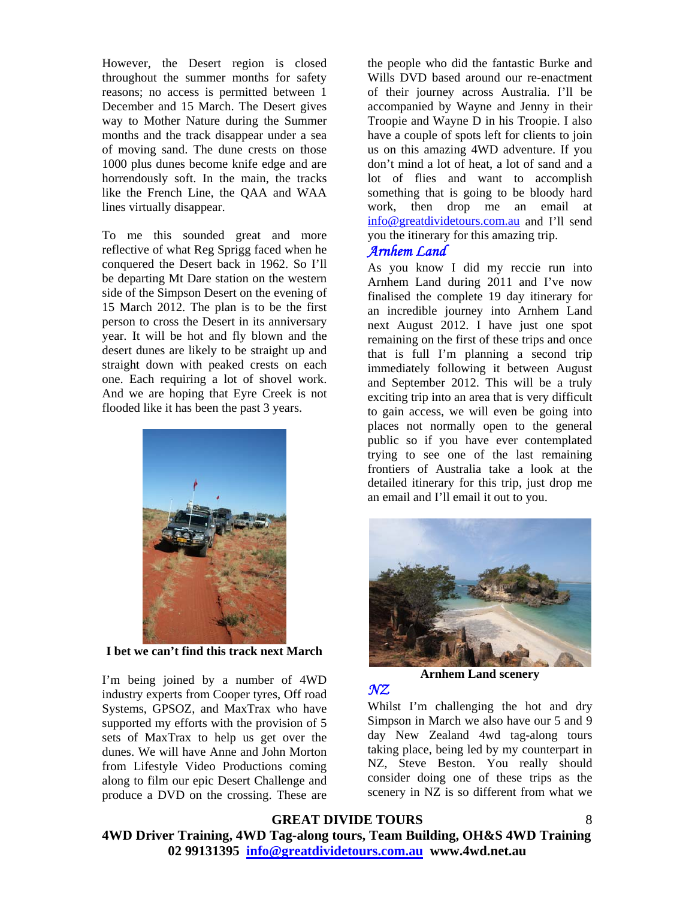However, the Desert region is closed throughout the summer months for safety reasons; no access is permitted between 1 December and 15 March. The Desert gives way to Mother Nature during the Summer months and the track disappear under a sea of moving sand. The dune crests on those 1000 plus dunes become knife edge and are horrendously soft. In the main, the tracks like the French Line, the QAA and WAA lines virtually disappear.

To me this sounded great and more reflective of what Reg Sprigg faced when he conquered the Desert back in 1962. So I'll be departing Mt Dare station on the western side of the Simpson Desert on the evening of 15 March 2012. The plan is to be the first person to cross the Desert in its anniversary year. It will be hot and fly blown and the desert dunes are likely to be straight up and straight down with peaked crests on each one. Each requiring a lot of shovel work. And we are hoping that Eyre Creek is not flooded like it has been the past 3 years.



**I bet we can't find this track next March** 

I'm being joined by a number of 4WD industry experts from Cooper tyres, Off road Systems, GPSOZ, and MaxTrax who have supported my efforts with the provision of 5 sets of MaxTrax to help us get over the dunes. We will have Anne and John Morton from Lifestyle Video Productions coming along to film our epic Desert Challenge and produce a DVD on the crossing. These are

the people who did the fantastic Burke and Wills DVD based around our re-enactment of their journey across Australia. I'll be accompanied by Wayne and Jenny in their Troopie and Wayne D in his Troopie. I also have a couple of spots left for clients to join us on this amazing 4WD adventure. If you don't mind a lot of heat, a lot of sand and a lot of flies and want to accomplish something that is going to be bloody hard work, then drop me an email at [info@greatdividetours.com.au](mailto:info@greatdividetours.com.au) and I'll send you the itinerary for this amazing trip.

### *Arnhem Land*

As you know I did my reccie run into Arnhem Land during 2011 and I've now finalised the complete 19 day itinerary for an incredible journey into Arnhem Land next August 2012. I have just one spot remaining on the first of these trips and once that is full I'm planning a second trip immediately following it between August and September 2012. This will be a truly exciting trip into an area that is very difficult to gain access, we will even be going into places not normally open to the general public so if you have ever contemplated trying to see one of the last remaining frontiers of Australia take a look at the detailed itinerary for this trip, just drop me an email and I'll email it out to you.



**Arnhem Land scenery** 

## *NZ*

Whilst I'm challenging the hot and dry Simpson in March we also have our 5 and 9 day New Zealand 4wd tag-along tours taking place, being led by my counterpart in NZ, Steve Beston. You really should consider doing one of these trips as the scenery in NZ is so different from what we

8

#### **GREAT DIVIDE TOURS**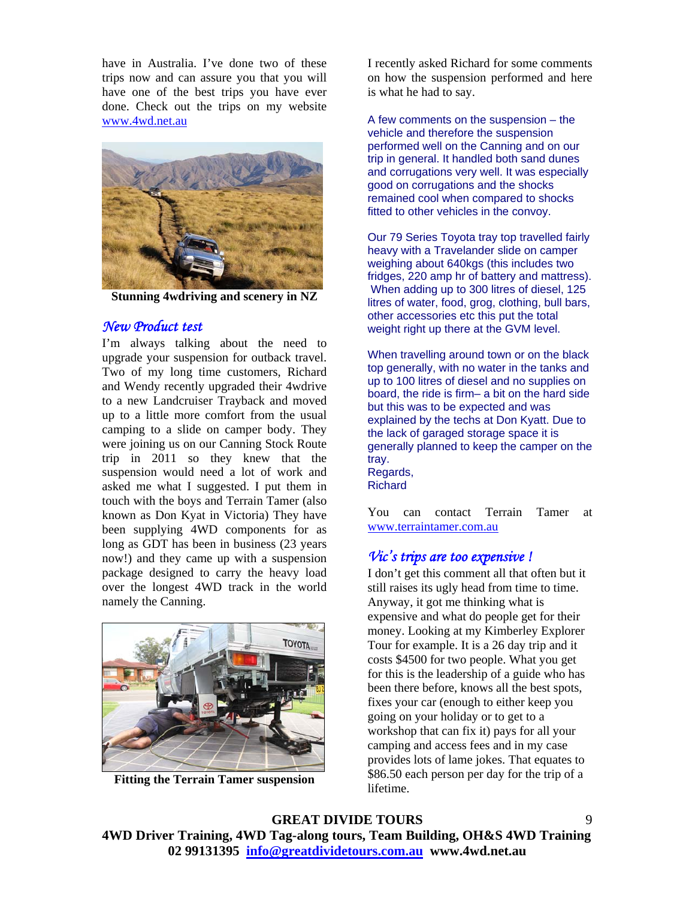have in Australia. I've done two of these trips now and can assure you that you will have one of the best trips you have ever done. Check out the trips on my website [www.4wd.net.au](http://www.4wd.net.au/) 



**Stunning 4wdriving and scenery in NZ** 

#### *New Product test*

I'm always talking about the need to upgrade your suspension for outback travel. Two of my long time customers, Richard and Wendy recently upgraded their 4wdrive to a new Landcruiser Trayback and moved up to a little more comfort from the usual camping to a slide on camper body. They were joining us on our Canning Stock Route trip in 2011 so they knew that the suspension would need a lot of work and asked me what I suggested. I put them in touch with the boys and Terrain Tamer (also known as Don Kyat in Victoria) They have been supplying 4WD components for as long as GDT has been in business (23 years now!) and they came up with a suspension package designed to carry the heavy load over the longest 4WD track in the world namely the Canning.



**Fitting the Terrain Tamer suspension** 

I recently asked Richard for some comments on how the suspension performed and here is what he had to say.

A few comments on the suspension – the vehicle and therefore the suspension performed well on the Canning and on our trip in general. It handled both sand dunes and corrugations very well. It was especially good on corrugations and the shocks remained cool when compared to shocks fitted to other vehicles in the convoy.

Our 79 Series Toyota tray top travelled fairly heavy with a Travelander slide on camper weighing about 640kgs (this includes two fridges, 220 amp hr of battery and mattress). When adding up to 300 litres of diesel, 125 litres of water, food, grog, clothing, bull bars, other accessories etc this put the total weight right up there at the GVM level.

When travelling around town or on the black top generally, with no water in the tanks and up to 100 litres of diesel and no supplies on board, the ride is firm– a bit on the hard side but this was to be expected and was explained by the techs at Don Kyatt. Due to the lack of garaged storage space it is generally planned to keep the camper on the tray. Regards,

Richard

You can contact Terrain Tamer at [www.terraintamer.com.au](http://www.terraintamer.com.au/)

#### *Vic's trips are too expensive !*

I don't get this comment all that often but it still raises its ugly head from time to time. Anyway, it got me thinking what is expensive and what do people get for their money. Looking at my Kimberley Explorer Tour for example. It is a 26 day trip and it costs \$4500 for two people. What you get for this is the leadership of a guide who has been there before, knows all the best spots, fixes your car (enough to either keep you going on your holiday or to get to a workshop that can fix it) pays for all your camping and access fees and in my case provides lots of lame jokes. That equates to \$86.50 each person per day for the trip of a lifetime.